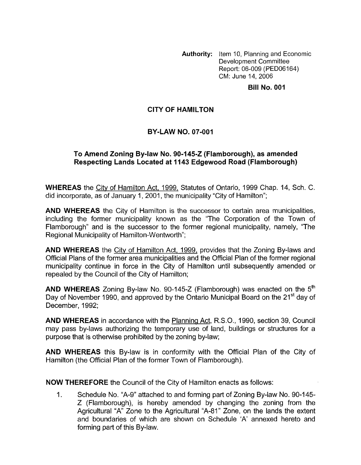**Authority:** Item 10, Planning and Economic Development Committee Report: 06-009 (PEDO6164) CM: June 14,2006

#### **Bill No. 001**

## **CITY OF HAMILTON**

# **BY-LAW NO. 07-001**

### **To Amend Zoning By-law No. 90-145-2 (Flamborough), as amended Respecting Lands Located at 1143 Edgewood Road (Flamborough)**

**WHEREAS** the City of Hamilton Act, 1999, Statutes of Ontario, 1999 Chap. 14, Sch. C. did incorporate, as of January 1, 2001, the municipality "City of Hamilton";

**AND WHEREAS** the City of Hamilton is the successor to certain area municipalities, including the former municipality known as the "The Corporation of the Town of Flamborough" and is the successor to the former regional municipality, namely, "The Regional Municipality of Hamilton-Wentworth";

**AND WHEREAS** the City of Hamilton Act, 1999, provides that the Zoning By-laws and Official Plans of the former area municipalities and the Official Plan of the former regional municipality continue in force in the City of Hamilton until subsequently amended or repealed by the Council of the City of Hamilton;

**AND WHEREAS** Zoning By-law No. 90-145-2 (Flamborough) was enacted on the 5' Day of November 1990, and approved by the Ontario Municipal Board on the 21<sup>st</sup> day of December, 1992;

**AND WHEREAS** in accordance with the Planning Act, R.S.O., 1990, section 39, Council may pass by-laws authorizing the temporary use of land, buildings or structures for a purpose that is otherwise prohibited by the zoning by-law;

**AND WHEREAS** this By-law is in conformity with the Official Plan of the City of Hamilton (the Official Plan of the former Town of Flamborough).

**NOW THEREFORE** the Council of the City of Hamilton enacts as follows:

1. Schedule No. "A-9" attached to and forming part of Zoning By-law No. 90-145- Z (Flamborough), is hereby amended by changing the zoning from the Agricultural "A" Zone to the Agricultural "A-81 " Zone, on the lands the extent and boundaries of which are shown on Schedule 'A' annexed hereto and forming part of this By-law.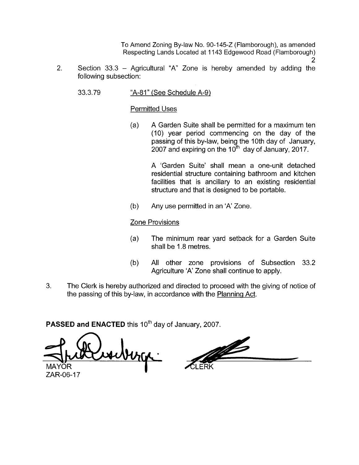To Amend Zoning By-law No. 90-145-2 (Flamborough), as amended Respecting Lands Located at 1143 Edgewood Road (Flamborough) 2

- Section  $33.3$  Agricultural "A" Zone is hereby amended by adding the following subsection: 2.
	- 33.3.79 "A-81" (See Schedule A-9)

### Permitted Uses

(a) A Garden Suite shall be permitted for a maximum ten (10) year period commencing on the day of the passing of this by-law, being the 10th day of January, 2007 and expiring on the  $10^{th}$  day of January, 2017.

> A 'Garden Suite' shall mean a one-unit detached residential structure containing bathroom and kitchen facilities that is ancillary to an existing residential structure and that is designed to be portable.

(b) Any use permitted in an 'A' Zone.

### Zone Provisions

- (a) The minimum rear yard setback for a Garden Suite shall be 1.8 metres.
- (b) All other zone provisions of Subsection 33.2 Agriculture 'A' Zone shall continue to apply.
- 3. The Clerk is hereby authorized and directed to proceed with the giving of notice of the passing of this by-law, in accordance with the Planning Act.

**PASSED and ENACTED** this 10<sup>th</sup> day of January, 2007.

berge MAYOR

B

ZAR-06-17